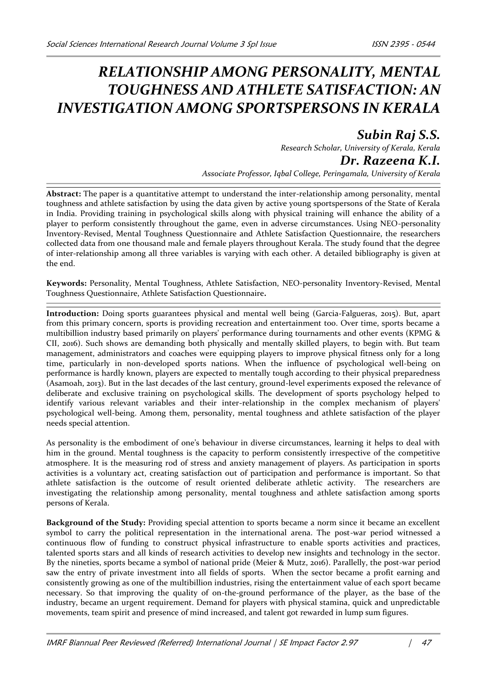## *RELATIONSHIP AMONG PERSONALITY, MENTAL TOUGHNESS AND ATHLETE SATISFACTION: AN INVESTIGATION AMONG SPORTSPERSONS IN KERALA*

## *Subin Raj S.S.*

*Research Scholar, University of Kerala, Kerala Dr. Razeena K.I.*

*Associate Professor, Iqbal College, Peringamala, University of Kerala*

**Abstract:** The paper is a quantitative attempt to understand the inter-relationship among personality, mental toughness and athlete satisfaction by using the data given by active young sportspersons of the State of Kerala in India. Providing training in psychological skills along with physical training will enhance the ability of a player to perform consistently throughout the game, even in adverse circumstances. Using NEO-personality Inventory-Revised, Mental Toughness Questionnaire and Athlete Satisfaction Questionnaire, the researchers collected data from one thousand male and female players throughout Kerala. The study found that the degree of inter-relationship among all three variables is varying with each other. A detailed bibliography is given at the end.

**Keywords:** Personality, Mental Toughness, Athlete Satisfaction, NEO-personality Inventory-Revised, Mental Toughness Questionnaire, Athlete Satisfaction Questionnaire**.**

**Introduction:** Doing sports guarantees physical and mental well being (Garcia-Falgueras, 2015). But, apart from this primary concern, sports is providing recreation and entertainment too. Over time, sports became a multibillion industry based primarily on players' performance during tournaments and other events (KPMG & CII, 2016). Such shows are demanding both physically and mentally skilled players, to begin with. But team management, administrators and coaches were equipping players to improve physical fitness only for a long time, particularly in non-developed sports nations. When the influence of psychological well-being on performance is hardly known, players are expected to mentally tough according to their physical preparedness (Asamoah, 2013). But in the last decades of the last century, ground-level experiments exposed the relevance of deliberate and exclusive training on psychological skills. The development of sports psychology helped to identify various relevant variables and their inter-relationship in the complex mechanism of players' psychological well-being. Among them, personality, mental toughness and athlete satisfaction of the player needs special attention.

As personality is the embodiment of one's behaviour in diverse circumstances, learning it helps to deal with him in the ground. Mental toughness is the capacity to perform consistently irrespective of the competitive atmosphere. It is the measuring rod of stress and anxiety management of players. As participation in sports activities is a voluntary act, creating satisfaction out of participation and performance is important. So that athlete satisfaction is the outcome of result oriented deliberate athletic activity. The researchers are investigating the relationship among personality, mental toughness and athlete satisfaction among sports persons of Kerala.

**Background of the Study:** Providing special attention to sports became a norm since it became an excellent symbol to carry the political representation in the international arena. The post-war period witnessed a continuous flow of funding to construct physical infrastructure to enable sports activities and practices, talented sports stars and all kinds of research activities to develop new insights and technology in the sector. By the nineties, sports became a symbol of national pride (Meier & Mutz, 2016). Parallelly, the post-war period saw the entry of private investment into all fields of sports. When the sector became a profit earning and consistently growing as one of the multibillion industries, rising the entertainment value of each sport became necessary. So that improving the quality of on-the-ground performance of the player, as the base of the industry, became an urgent requirement. Demand for players with physical stamina, quick and unpredictable movements, team spirit and presence of mind increased, and talent got rewarded in lump sum figures.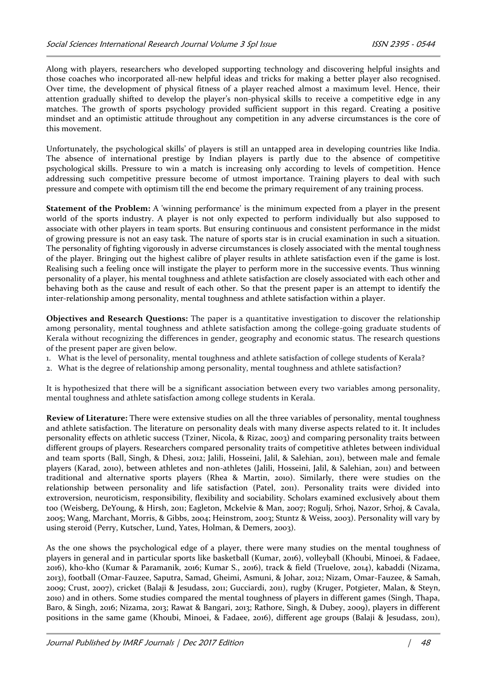Along with players, researchers who developed supporting technology and discovering helpful insights and those coaches who incorporated all-new helpful ideas and tricks for making a better player also recognised. Over time, the development of physical fitness of a player reached almost a maximum level. Hence, their attention gradually shifted to develop the player's non-physical skills to receive a competitive edge in any matches. The growth of sports psychology provided sufficient support in this regard. Creating a positive mindset and an optimistic attitude throughout any competition in any adverse circumstances is the core of this movement.

Unfortunately, the psychological skills' of players is still an untapped area in developing countries like India. The absence of international prestige by Indian players is partly due to the absence of competitive psychological skills. Pressure to win a match is increasing only according to levels of competition. Hence addressing such competitive pressure become of utmost importance. Training players to deal with such pressure and compete with optimism till the end become the primary requirement of any training process.

**Statement of the Problem:** A 'winning performance' is the minimum expected from a player in the present world of the sports industry. A player is not only expected to perform individually but also supposed to associate with other players in team sports. But ensuring continuous and consistent performance in the midst of growing pressure is not an easy task. The nature of sports star is in crucial examination in such a situation. The personality of fighting vigorously in adverse circumstances is closely associated with the mental toughness of the player. Bringing out the highest calibre of player results in athlete satisfaction even if the game is lost. Realising such a feeling once will instigate the player to perform more in the successive events. Thus winning personality of a player, his mental toughness and athlete satisfaction are closely associated with each other and behaving both as the cause and result of each other. So that the present paper is an attempt to identify the inter-relationship among personality, mental toughness and athlete satisfaction within a player.

**Objectives and Research Questions:** The paper is a quantitative investigation to discover the relationship among personality, mental toughness and athlete satisfaction among the college-going graduate students of Kerala without recognizing the differences in gender, geography and economic status. The research questions of the present paper are given below.

- 1. What is the level of personality, mental toughness and athlete satisfaction of college students of Kerala?
- 2. What is the degree of relationship among personality, mental toughness and athlete satisfaction?

It is hypothesized that there will be a significant association between every two variables among personality, mental toughness and athlete satisfaction among college students in Kerala.

**Review of Literature:** There were extensive studies on all the three variables of personality, mental toughness and athlete satisfaction. The literature on personality deals with many diverse aspects related to it. It includes personality effects on athletic success (Tziner, Nicola, & Rizac, 2003) and comparing personality traits between different groups of players. Researchers compared personality traits of competitive athletes between individual and team sports (Ball, Singh, & Dhesi, 2012; Jalili, Hosseini, Jalil, & Salehian, 2011), between male and female players (Karad, 2010), between athletes and non-athletes (Jalili, Hosseini, Jalil, & Salehian, 2011) and between traditional and alternative sports players (Rhea & Martin, 2010). Similarly, there were studies on the relationship between personality and life satisfaction (Patel, 2011). Personality traits were divided into extroversion, neuroticism, responsibility, flexibility and sociability. Scholars examined exclusively about them too (Weisberg, DeYoung, & Hirsh, 2011; Eagleton, Mckelvie & Man, 2007; Rogulj, Srhoj, Nazor, Srhoj, & Cavala, 2005; Wang, Marchant, Morris, & Gibbs, 2004; Heinstrom, 2003; Stuntz & Weiss, 2003). Personality will vary by using steroid (Perry, Kutscher, Lund, Yates, Holman, & Demers, 2003).

As the one shows the psychological edge of a player, there were many studies on the mental toughness of players in general and in particular sports like basketball (Kumar, 2016), volleyball (Khoubi, Minoei, & Fadaee, 2016), kho-kho (Kumar & Paramanik, 2016; Kumar S., 2016), track & field (Truelove, 2014), kabaddi (Nizama, 2013), football (Omar-Fauzee, Saputra, Samad, Gheimi, Asmuni, & Johar, 2012; Nizam, Omar-Fauzee, & Samah, 2009; Crust, 2007), cricket (Balaji & Jesudass, 2011; Gucciardi, 2011), rugby (Kruger, Potgieter, Malan, & Steyn, 2010) and in others. Some studies compared the mental toughness of players in different games (Singh, Thapa, Baro, & Singh, 2016; Nizama, 2013; Rawat & Bangari, 2013; Rathore, Singh, & Dubey, 2009), players in different positions in the same game (Khoubi, Minoei, & Fadaee, 2016), different age groups (Balaji & Jesudass, 2011),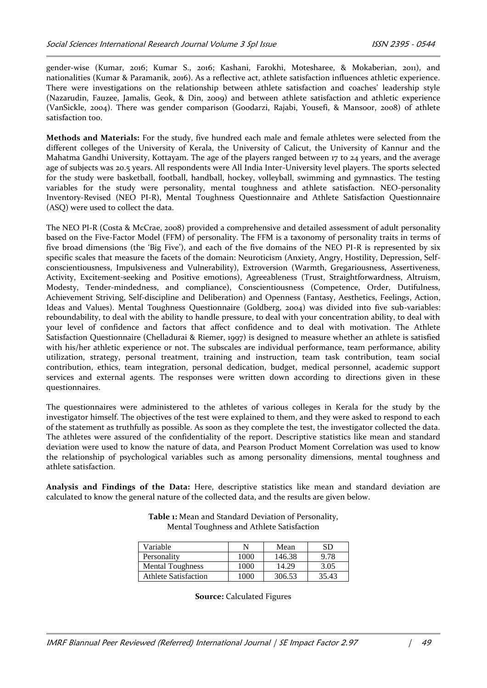gender-wise (Kumar, 2016; Kumar S., 2016; Kashani, Farokhi, Motesharee, & Mokaberian, 2011), and nationalities (Kumar & Paramanik, 2016). As a reflective act, athlete satisfaction influences athletic experience. There were investigations on the relationship between athlete satisfaction and coaches' leadership style (Nazarudin, Fauzee, Jamalis, Geok, & Din, 2009) and between athlete satisfaction and athletic experience (VanSickle, 2004). There was gender comparison (Goodarzi, Rajabi, Yousefi, & Mansoor, 2008) of athlete satisfaction too.

**Methods and Materials:** For the study, five hundred each male and female athletes were selected from the different colleges of the University of Kerala, the University of Calicut, the University of Kannur and the Mahatma Gandhi University, Kottayam. The age of the players ranged between 17 to 24 years, and the average age of subjects was 20.5 years. All respondents were All India Inter-University level players. The sports selected for the study were basketball, football, handball, hockey, volleyball, swimming and gymnastics. The testing variables for the study were personality, mental toughness and athlete satisfaction. NEO-personality Inventory-Revised (NEO PI-R), Mental Toughness Questionnaire and Athlete Satisfaction Questionnaire (ASQ) were used to collect the data.

The NEO PI-R (Costa & McCrae, 2008) provided a comprehensive and detailed assessment of adult personality based on the Five-Factor Model (FFM) of personality. The FFM is a taxonomy of personality traits in terms of five broad dimensions (the 'Big Five'), and each of the five domains of the NEO PI-R is represented by six specific scales that measure the facets of the domain: Neuroticism (Anxiety, Angry, Hostility, Depression, Selfconscientiousness, Impulsiveness and Vulnerability), Extroversion (Warmth, Gregariousness, Assertiveness, Activity, Excitement-seeking and Positive emotions), Agreeableness (Trust, Straightforwardness, Altruism, Modesty, Tender-mindedness, and compliance), Conscientiousness (Competence, Order, Dutifulness, Achievement Striving, Self-discipline and Deliberation) and Openness (Fantasy, Aesthetics, Feelings, Action, Ideas and Values). Mental Toughness Questionnaire (Goldberg, 2004) was divided into five sub-variables: reboundability, to deal with the ability to handle pressure, to deal with your concentration ability, to deal with your level of confidence and factors that affect confidence and to deal with motivation. The Athlete Satisfaction Questionnaire (Chelladurai & Riemer, 1997) is designed to measure whether an athlete is satisfied with his/her athletic experience or not. The subscales are individual performance, team performance, ability utilization, strategy, personal treatment, training and instruction, team task contribution, team social contribution, ethics, team integration, personal dedication, budget, medical personnel, academic support services and external agents. The responses were written down according to directions given in these questionnaires.

The questionnaires were administered to the athletes of various colleges in Kerala for the study by the investigator himself. The objectives of the test were explained to them, and they were asked to respond to each of the statement as truthfully as possible. As soon as they complete the test, the investigator collected the data. The athletes were assured of the confidentiality of the report. Descriptive statistics like mean and standard deviation were used to know the nature of data, and Pearson Product Moment Correlation was used to know the relationship of psychological variables such as among personality dimensions, mental toughness and athlete satisfaction.

**Analysis and Findings of the Data:** Here, descriptive statistics like mean and standard deviation are calculated to know the general nature of the collected data, and the results are given below.

| Variable                    |      | Mean   | SD    |
|-----------------------------|------|--------|-------|
| Personality                 | 1000 | 146.38 | 9.78  |
| <b>Mental Toughness</b>     | 1000 | 14.29  | 3.05  |
| <b>Athlete Satisfaction</b> | 1000 | 306.53 | 35.43 |

**Table 1:** Mean and Standard Deviation of Personality, Mental Toughness and Athlete Satisfaction

**Source:** Calculated Figures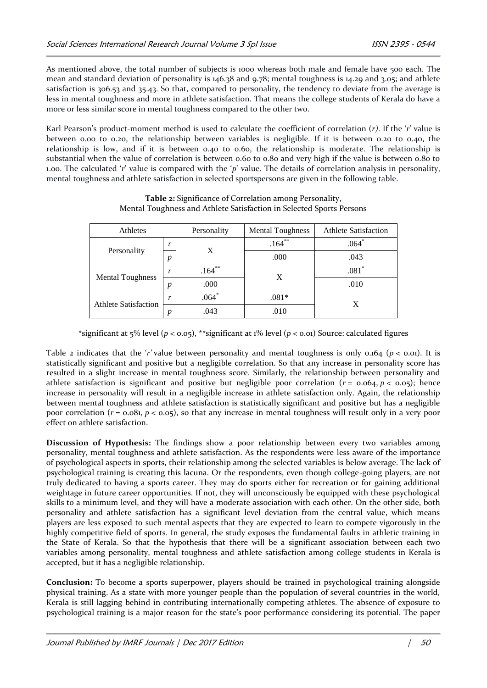As mentioned above, the total number of subjects is 1000 whereas both male and female have 500 each. The mean and standard deviation of personality is 146.38 and 9.78; mental toughness is 14.29 and 3.05; and athlete satisfaction is 306.53 and 35.43. So that, compared to personality, the tendency to deviate from the average is less in mental toughness and more in athlete satisfaction. That means the college students of Kerala do have a more or less similar score in mental toughness compared to the other two.

Karl Pearson's product-moment method is used to calculate the coefficient of correlation (*r)*. If the '*r*' value is between 0.00 to 0.20, the relationship between variables is negligible. If it is between 0.20 to 0.40, the relationship is low, and if it is between 0.40 to 0.60, the relationship is moderate. The relationship is substantial when the value of correlation is between 0.60 to 0.80 and very high if the value is between 0.80 to 1.00. The calculated '*r*' value is compared with the '*p*' value. The details of correlation analysis in personality, mental toughness and athlete satisfaction in selected sportspersons are given in the following table.

| Athletes                    |                  | Personality | <b>Mental Toughness</b> | <b>Athlete Satisfaction</b> |
|-----------------------------|------------------|-------------|-------------------------|-----------------------------|
| Personality                 |                  | X           | $.164***$               | $.064*$                     |
|                             | $\boldsymbol{p}$ |             | .000                    | .043                        |
| <b>Mental Toughness</b>     | $\mathbf{v}$     | $.164***$   | X                       | $.081*$                     |
|                             | $\boldsymbol{D}$ | .000        |                         | .010                        |
| <b>Athlete Satisfaction</b> | $\mathbf{r}$     | $.064*$     | $.081*$                 | X                           |
|                             | Ŋ                | .043        | .010                    |                             |

## **Table 2:** Significance of Correlation among Personality, Mental Toughness and Athlete Satisfaction in Selected Sports Persons

\*significant at 5% level (*p* < 0.05), \*\*significant at 1% level (*p* < 0.01) Source: calculated figures

Table 2 indicates that the '*r'* value between personality and mental toughness is only 0.164 ( $p <$  0.01). It is statistically significant and positive but a negligible correlation. So that any increase in personality score has resulted in a slight increase in mental toughness score. Similarly, the relationship between personality and athlete satisfaction is significant and positive but negligible poor correlation  $(r = 0.064, p < 0.05)$ ; hence increase in personality will result in a negligible increase in athlete satisfaction only. Again, the relationship between mental toughness and athlete satisfaction is statistically significant and positive but has a negligible poor correlation (*r* = 0.081, *p* < 0.05), so that any increase in mental toughness will result only in a very poor effect on athlete satisfaction.

**Discussion of Hypothesis:** The findings show a poor relationship between every two variables among personality, mental toughness and athlete satisfaction. As the respondents were less aware of the importance of psychological aspects in sports, their relationship among the selected variables is below average. The lack of psychological training is creating this lacuna. Or the respondents, even though college-going players, are not truly dedicated to having a sports career. They may do sports either for recreation or for gaining additional weightage in future career opportunities. If not, they will unconsciously be equipped with these psychological skills to a minimum level, and they will have a moderate association with each other. On the other side, both personality and athlete satisfaction has a significant level deviation from the central value, which means players are less exposed to such mental aspects that they are expected to learn to compete vigorously in the highly competitive field of sports. In general, the study exposes the fundamental faults in athletic training in the State of Kerala. So that the hypothesis that there will be a significant association between each two variables among personality, mental toughness and athlete satisfaction among college students in Kerala is accepted, but it has a negligible relationship.

**Conclusion:** To become a sports superpower, players should be trained in psychological training alongside physical training. As a state with more younger people than the population of several countries in the world, Kerala is still lagging behind in contributing internationally competing athletes. The absence of exposure to psychological training is a major reason for the state's poor performance considering its potential. The paper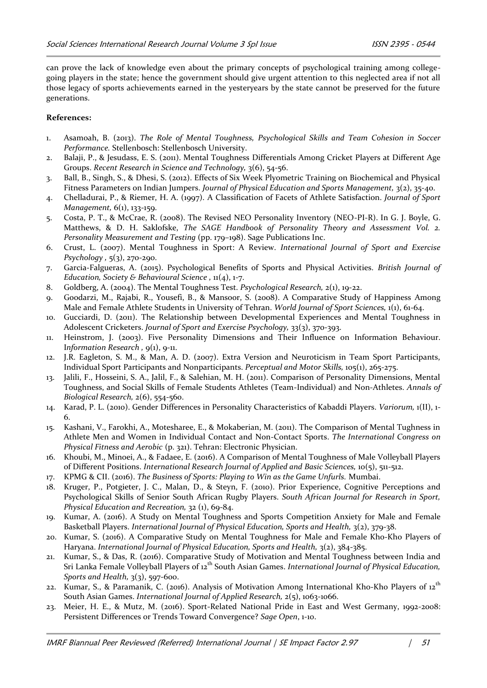can prove the lack of knowledge even about the primary concepts of psychological training among collegegoing players in the state; hence the government should give urgent attention to this neglected area if not all those legacy of sports achievements earned in the yesteryears by the state cannot be preserved for the future generations.

## **References:**

- 1. Asamoah, B. (2013). *The Role of Mental Toughness, Psychological Skills and Team Cohesion in Soccer Performance.* Stellenbosch: Stellenbosch University.
- 2. Balaji, P., & Jesudass, E. S. (2011). Mental Toughness Differentials Among Cricket Players at Different Age Groups. *Recent Research in Science and Technology,* 3(6), 54-56.
- 3. Ball, B., Singh, S., & Dhesi, S. (2012). Effects of Six Week Plyometric Training on Biochemical and Physical Fitness Parameters on Indian Jumpers. *Journal of Physical Education and Sports Management,* 3(2), 35-40.
- 4. Chelladurai, P., & Riemer, H. A. (1997). A Classification of Facets of Athlete Satisfaction. *Journal of Sport Management,* 6(1), 133-159.
- 5. Costa, P. T., & McCrae, R. (2008). The Revised NEO Personality Inventory (NEO-PI-R). In G. J. Boyle, G. Matthews, & D. H. Saklofske, *The SAGE Handbook of Personality Theory and Assessment Vol. 2. Personality Measurement and Testing* (pp. 179–198). Sage Publications Inc.
- 6. Crust, L. (2007). Mental Toughness in Sport: A Review. *International Journal of Sport and Exercise Psychology ,* 5(3), 270-290.
- 7. Garcia-Falgueras, A. (2015). Psychological Benefits of Sports and Physical Activities. *British Journal of Education, Society & Behavioural Science ,* 11(4), 1-7.
- 8. Goldberg, A. (2004). The Mental Toughness Test. *Psychological Research,* 2(1), 19-22.
- 9. Goodarzi, M., Rajabi, R., Yousefi, B., & Mansoor, S. (2008). A Comparative Study of Happiness Among Male and Female Athlete Students in University of Tehran. *World Journal of Sport Sciences,* 1(1), 61-64.
- 10. Gucciardi, D. (2011). The Relationship between Developmental Experiences and Mental Toughness in Adolescent Cricketers. *Journal of Sport and Exercise Psychology,* 33(3), 370-393.
- 11. Heinstrom, J. (2003). Five Personality Dimensions and Their Influence on Information Behaviour. Information Research, 9(1), 9-11.
- 12. J.R. Eagleton, S. M., & Man, A. D. (2007). Extra Version and Neuroticism in Team Sport Participants, Individual Sport Participants and Nonparticipants. *Perceptual and Motor Skills,* 105(1), 265-275.
- 13. Jalili, F., Hosseini, S. A., Jalil, F., & Salehian, M. H. (2011). Comparison of Personality Dimensions, Mental Toughness, and Social Skills of Female Students Athletes (Team-Individual) and Non-Athletes. *Annals of Biological Research,* 2(6), 554-560.
- 14. Karad, P. L. (2010). Gender Differences in Personality Characteristics of Kabaddi Players. *Variorum,* 1(II), 1- 6.
- 15. Kashani, V., Farokhi, A., Motesharee, E., & Mokaberian, M. (2011). The Comparison of Mental Tughness in Athlete Men and Women in Individual Contact and Non-Contact Sports. *The International Congress on Physical Fitness and Aerobic* (p. 321). Tehran: Electronic Physician.
- 16. Khoubi, M., Minoei, A., & Fadaee, E. (2016). A Comparison of Mental Toughness of Male Volleyball Players of Different Positions. *International Research Journal of Applied and Basic Sciences,* 10(5), 511-512.
- 17. KPMG & CII. (2016). *The Business of Sports: Playing to Win as the Game Unfurls.* Mumbai.
- 18. Kruger, P., Potgieter, J. C., Malan, D., & Steyn, F. (2010). Prior Experience, Cognitive Perceptions and Psychological Skills of Senior South African Rugby Players. *South African Journal for Research in Sport, Physical Education and Recreation,* 32 (1), 69-84.
- 19. Kumar, A. (2016). A Study on Mental Toughness and Sports Competition Anxiety for Male and Female Basketball Players. *International Journal of Physical Education, Sports and Health,* 3(2), 379-38.
- 20. Kumar, S. (2016). A Comparative Study on Mental Toughness for Male and Female Kho-Kho Players of Haryana. *International Journal of Physical Education, Sports and Health,* 3(2), 384-385.
- 21. Kumar, S., & Das, R. (2016). Comparative Study of Motivation and Mental Toughness between India and Sri Lanka Female Volleyball Players of 12<sup>th</sup> South Asian Games. *International Journal of Physical Education*, *Sports and Health,* 3(3), 597-600.
- 22. Kumar, S., & Paramanik, C. (2016). Analysis of Motivation Among International Kho-Kho Players of 12<sup>th</sup> South Asian Games. *International Journal of Applied Research,* 2(5), 1063-1066.
- 23. Meier, H. E., & Mutz, M. (2016). Sport-Related National Pride in East and West Germany, 1992-2008: Persistent Differences or Trends Toward Convergence? *Sage Open*, 1-10.